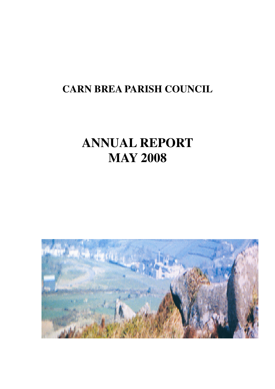## **CARN BREA PARISH COUNCIL**

# **ANNUAL REPORT MAY 2008**

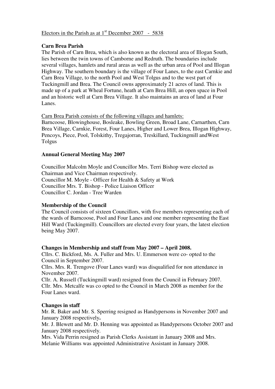#### Electors in the Parish as at  $1<sup>st</sup>$  December 2007 - 5838

#### **Carn Brea Parish**

The Parish of Carn Brea, which is also known as the electoral area of Illogan South, lies between the twin towns of Camborne and Redruth. The boundaries include several villages, hamlets and rural areas as well as the urban area of Pool and Illogan Highway. The southern boundary is the village of Four Lanes, to the east Carnkie and Carn Brea Village, to the north Pool and West Tolgus and to the west part of Tuckingmill and Brea. The Council owns approximately 21 acres of land. This is made up of a park at Wheal Fortune, heath at Carn Brea Hill, an open space in Pool and an historic well at Carn Brea Village. It also maintains an area of land at Four Lanes.

Carn Brea Parish consists of the following villages and hamlets:

Barncoose, Blowinghouse, Bosleake, Bowling Green, Broad Lane, Carnarthen, Carn Brea Village, Carnkie, Forest, Four Lanes, Higher and Lower Brea, Illogan Highway, Pencoys, Piece, Pool, Tolskithy, Tregajorran, Treskillard, Tuckingmill andWest Tolgus

#### **Annual General Meeting May 2007**

Councillor Malcolm Moyle and Councillor Mrs. Terri Bishop were elected as Chairman and Vice Chairman respectively. Councillor M. Moyle - Officer for Health & Safety at Work Councillor Mrs. T. Bishop - Police Liaison Officer Councillor C. Jordan - Tree Warden

#### **Membership of the Council**

The Council consists of sixteen Councillors, with five members representing each of the wards of Barncoose, Pool and Four Lanes and one member representing the East Hill Ward (Tuckingmill). Councillors are elected every four years, the latest election being May 2007.

#### **Changes in Membership and staff from May 2007 – April 2008.**

Cllrs. C. Bickford, Ms. A. Fuller and Mrs. U. Emmerson were co- opted to the Council in September 2007.

Cllrs. Mrs. R. Trengove (Four Lanes ward) was disqualified for non attendance in November 2007.

Cllr. A. Russell (Tuckingmill ward) resigned from the Council in February 2007. Cllr. Mrs. Metcalfe was co opted to the Council in March 2008 as member for the Four Lanes ward.

#### **Changes in staff**

Mr. R. Baker and Mr. S. Sperring resigned as Handypersons in November 2007 and January 2008 respectively**.** 

Mr. J. Blewett and Mr. D. Henning was appointed as Handypersons October 2007 and January 2008 respectively.

Mrs. Vida Perrin resigned as Parish Clerks Assistant in January 2008 and Mrs. Melanie Williams was appointed Administrative Assistant in January 2008.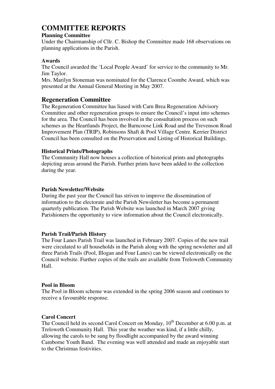### **COMMITTEE REPORTS**

#### **Planning Committee**

Under the Chairmanship of Cllr. C. Bishop the Committee made 168 observations on planning applications in the Parish.

#### **Awards**

The Council awarded the 'Local People Award' for service to the community to Mr. Jim Taylor.

Mrs. Marilyn Stoneman was nominated for the Clarence Coombe Award, which was presented at the Annual General Meeting in May 2007.

#### **Regeneration Committee**

The Regeneration Committee has liased with Carn Brea Regeneration Advisory Committee and other regeneration groups to ensure the Council's input into schemes for the area. The Council has been involved in the consultation process on such schemes as the Heartlands Project, the Barncoose Link Road and the Trevenson Road Improvement Plan (TRIP), Robinsons Shaft & Pool Village Centre*.* Kerrier District Council has been consulted on the Preservation and Listing of Historical Buildings.

#### **Historical Prints/Photographs**

The Community Hall now houses a collection of historical prints and photographs depicting areas around the Parish. Further prints have been added to the collection during the year.

#### **Parish Newsletter/Website**

During the past year the Council has striven to improve the dissemination of information to the electorate and the Parish Newsletter has become a permanent quarterly publication. The Parish Website was launched in March 2007 giving Parishioners the opportunity to view information about the Council electronically.

#### **Parish Trail/Parish History**

The Four Lanes Parish Trail was launched in February 2007. Copies of the new trail were circulated to all households in the Parish along with the spring newsletter and all three Parish Trails (Pool, Illogan and Four Lanes) can be viewed electronically on the Council website. Further copies of the trails are available from Treloweth Community Hall.

#### **Pool in Bloom**

The Pool in Bloom scheme was extended in the spring 2006 season and continues to receive a favourable response.

#### **Carol Concert**

The Council held its second Carol Concert on Monday,  $10<sup>th</sup>$  December at 6.00 p.m. at Treloweth Community Hall. This year the weather was kind, if a little chilly, allowing the carols to be sung by floodlight accompanied by the award winning Camborne Youth Band. The evening was well attended and made an enjoyable start to the Christmas festivities.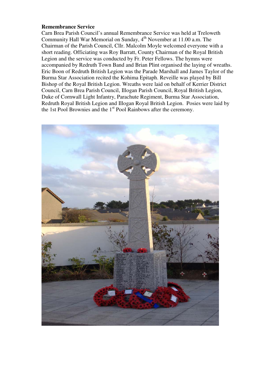#### **Remembrance Service**

Carn Brea Parish Council's annual Remembrance Service was held at Treloweth Community Hall War Memorial on Sunday, 4<sup>th</sup> November at 11.00 a.m. The Chairman of the Parish Council, Cllr. Malcolm Moyle welcomed everyone with a short reading. Officiating was Roy Barratt, County Chairman of the Royal British Legion and the service was conducted by Fr. Peter Fellows. The hymns were accompanied by Redruth Town Band and Brian Plint organised the laying of wreaths. Eric Boon of Redruth British Legion was the Parade Marshall and James Taylor of the Burma Star Association recited the Kohima Epitaph. Reveille was played by Bill Bishop of the Royal British Legion. Wreaths were laid on behalf of Kerrier District Council, Carn Brea Parish Council, Illogan Parish Council, Royal British Legion, Duke of Cornwall Light Infantry, Parachute Regiment, Burma Star Association, Redruth Royal British Legion and Illogan Royal British Legion. Posies were laid by the 1st Pool Brownies and the 1st Pool Rainbows after the ceremony.

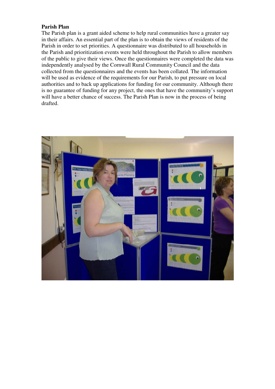#### **Parish Plan**

The Parish plan is a grant aided scheme to help rural communities have a greater say in their affairs. An essential part of the plan is to obtain the views of residents of the Parish in order to set priorities. A questionnaire was distributed to all households in the Parish and prioritization events were held throughout the Parish to allow members of the public to give their views. Once the questionnaires were completed the data was independently analysed by the Cornwall Rural Community Council and the data collected from the questionnaires and the events has been collated. The information will be used as evidence of the requirements for our Parish, to put pressure on local authorities and to back up applications for funding for our community. Although there is no guarantee of funding for any project, the ones that have the community's support will have a better chance of success. The Parish Plan is now in the process of being drafted.

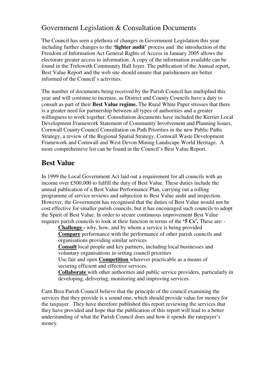## Government Legislation & Consultation Documents

The Council has seen a plethora of changes in Government Legislation this year including further changes to the **'lighter audit'** process and the introduction of the Freedom of Information Act General Rights of Access in January 2005 allows the electorate greater access to information. A copy of the information available can be found in the Treloweth Community Hall foyer. The publication of the Annual report, Best Value Report and the web site should ensure that parishioners are better informed of the Council's activities.

The number of documents being received by the Parish Council has multiplied this year and will continue to increase, as District and County Councils have a duty to consult as part of their **Best Value regime.** The Rural White Paper stresses that there is a greater need for partnership between all types of authorities and a greater willingness to work together. Consultation documents have included the Kerrier Local Development Framework Statement of Community Involvement and Planning Issues, Cornwall County Council Consultation on Path Priorities in the new Public Paths Strategy, a review of the Regional Spatial Strategy, Cornwall Waste Development Framework and Cornwall and West Devon Mining Landscape World Heritage. A more comprehensive list can be found in the Council's Best Value Report.

## **Best Value**

In 1999 the Local Government Act laid out a requirement for all councils with an income over £500,000 to fulfill the duty of Best Value. These duties include the annual publication of a Best Value Performance Plan, carrying out a rolling programme of service reviews and subjection to Best Value audit and inspection. However, the Government has recognised that the duties of Best Value would not be cost effective for smaller parish councils, but it has encouraged such councils to adopt the Spirit of Best Value. In order to secure continuous improvement Best Value requires parish councils to look at their function in terms of the **'5 Cs'.** These are: -

**Challenge -** why, how, and by whom a service is being provided **Compare** performance with the performance of other parish councils and organisations providing similar services **Consult** local people and key partners, including local businesses and voluntary organisations in setting council priorities Use fair and open **Competition** wherever practicable as a means of securing efficient and effective services.

**Collaborate** with other authorities and public service providers, particularly in developing, delivering, monitoring and improving services.

Carn Brea Parish Council believe that the principle of the council examining the services that they provide is a sound one, which should provide value for money for the taxpayer. They have therefore published this report reviewing the services that they have provided and hope that the publication of this report will lead to a better understanding of what the Parish Council does and how it spends the ratepayer's money.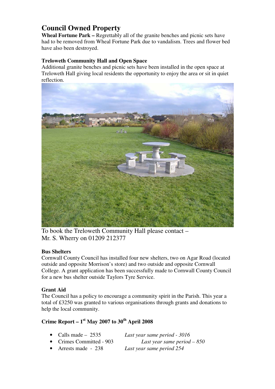## **Council Owned Property**

Wheal Fortune Park – Regrettably all of the granite benches and picnic sets have had to be removed from Wheal Fortune Park due to vandalism. Trees and flower bed have also been destroyed.

#### **Treloweth Community Hall and Open Space**

Additional granite benches and picnic sets have been installed in the open space at Treloweth Hall giving local residents the opportunity to enjoy the area or sit in quiet reflection.



To book the Treloweth Community Hall please contact – Mr. S. Wherry on 01209 212377

#### **Bus Shelters**

Cornwall County Council has installed four new shelters, two on Agar Road (located outside and opposite Morrison's store) and two outside and opposite Cornwall College. A grant application has been successfully made to Cornwall County Council for a new bus shelter outside Taylors Tyre Service.

#### **Grant Aid**

The Council has a policy to encourage a community spirit in the Parish. This year a total of £3250 was granted to various organisations through grants and donations to help the local community.

## **Crime Report – 1st May 2007 to 30th April 2008**

| • Calls made $-2535$     | Last year same period - 3016 |
|--------------------------|------------------------------|
| • Crimes Committed - 903 | Last year same period $-850$ |
| • Arrests made - $238$   | Last year same period 254    |